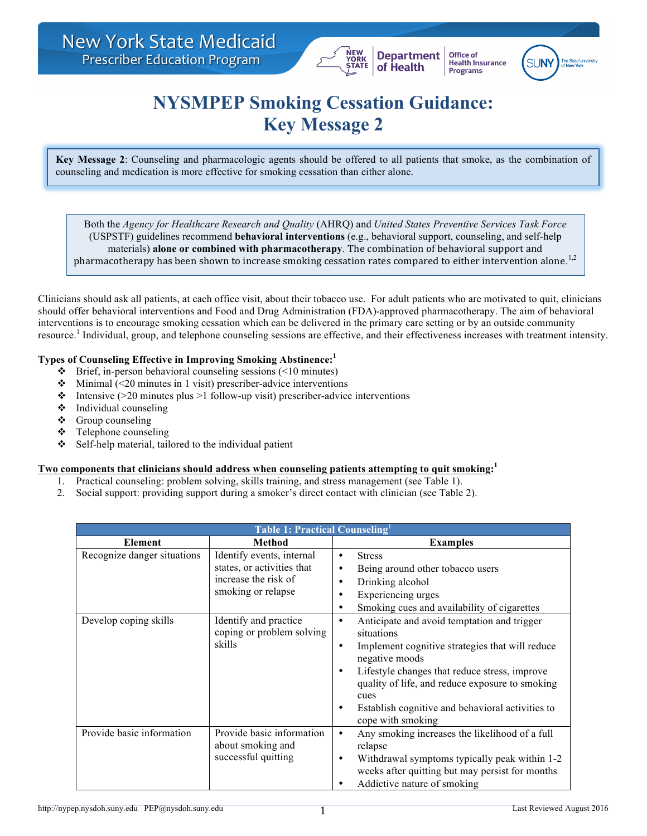

## **NYSMPEP Smoking Cessation Guidance: Key Message 2**

**Department** 

of Health

Office of

Programs

**Health Insurance** 

**Key Message 2**: Counseling and pharmacologic agents should be offered to all patients that smoke, as the combination of counseling and medication is more effective for smoking cessation than either alone.

Both the *Agency for Healthcare Research and Quality* (AHRQ) and *United States Preventive Services Task Force* (USPSTF) guidelines recommend **behavioral interventions** (e.g., behavioral support, counseling, and self-help materials) **alone or combined with pharmacotherapy**. The combination of behavioral support and pharmacotherapy has been shown to increase smoking cessation rates compared to either intervention alone.<sup>1,2</sup>

Clinicians should ask all patients, at each office visit, about their tobacco use. For adult patients who are motivated to quit, clinicians should offer behavioral interventions and Food and Drug Administration (FDA)-approved pharmacotherapy. The aim of behavioral interventions is to encourage smoking cessation which can be delivered in the primary care setting or by an outside community resource.<sup>1</sup> Individual, group, and telephone counseling sessions are effective, and their effectiveness increases with treatment intensity.

## **Types of Counseling Effective in Improving Smoking Abstinence: 1**

- $\div$  Brief, in-person behavioral counseling sessions (<10 minutes)
- $\cdot$  Minimal (<20 minutes in 1 visit) prescriber-advice interventions
- Intensive ( $>20$  minutes plus  $>1$  follow-up visit) prescriber-advice interventions
- $\triangleleft$  Individual counseling
- $\triangleleft$  Group counseling
- $\div$  Telephone counseling
- $\div$  Self-help material, tailored to the individual patient

## **Two components that clinicians should address when counseling patients attempting to quit smoking: 1**

- 1. Practical counseling: problem solving, skills training, and stress management (see Table 1).
- 2. Social support: providing support during a smoker's direct contact with clinician (see Table 2).

| Table 1: Practical Counseling |                                                                                                       |                                                                                                                                                                                                                                                                                                                                                    |
|-------------------------------|-------------------------------------------------------------------------------------------------------|----------------------------------------------------------------------------------------------------------------------------------------------------------------------------------------------------------------------------------------------------------------------------------------------------------------------------------------------------|
| <b>Element</b>                | <b>Method</b>                                                                                         | <b>Examples</b>                                                                                                                                                                                                                                                                                                                                    |
| Recognize danger situations   | Identify events, internal<br>states, or activities that<br>increase the risk of<br>smoking or relapse | <b>Stress</b><br>$\bullet$<br>Being around other tobacco users<br>٠<br>Drinking alcohol<br>٠<br>Experiencing urges<br>٠<br>Smoking cues and availability of cigarettes<br>$\bullet$                                                                                                                                                                |
| Develop coping skills         | Identify and practice<br>coping or problem solving<br>skills                                          | Anticipate and avoid temptation and trigger<br>$\bullet$<br>situations<br>Implement cognitive strategies that will reduce<br>$\bullet$<br>negative moods<br>Lifestyle changes that reduce stress, improve<br>quality of life, and reduce exposure to smoking<br>cues<br>Establish cognitive and behavioral activities to<br>٠<br>cope with smoking |
| Provide basic information     | Provide basic information<br>about smoking and<br>successful quitting                                 | Any smoking increases the likelihood of a full<br>$\bullet$<br>relapse<br>Withdrawal symptoms typically peak within 1-2<br>٠<br>weeks after quitting but may persist for months<br>Addictive nature of smoking                                                                                                                                     |